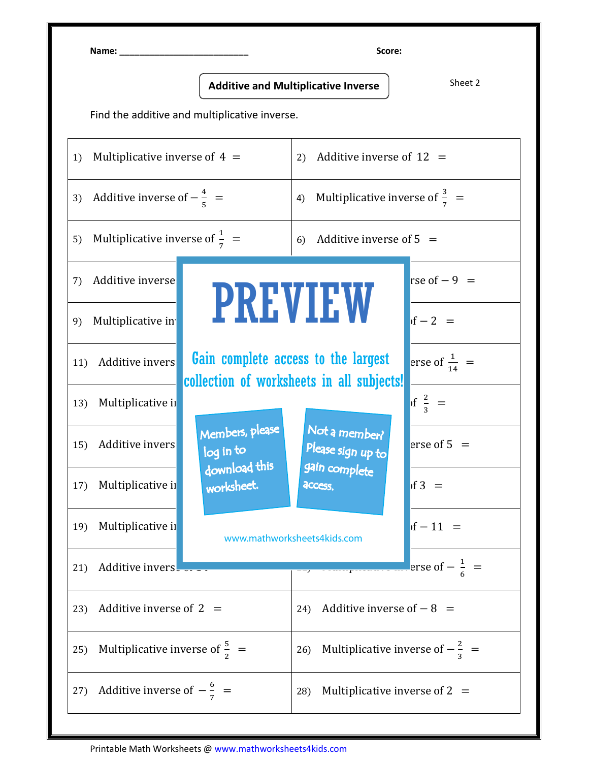Name: \_\_\_\_\_\_\_\_\_\_\_\_\_\_\_\_\_\_\_\_\_\_\_\_\_\_ Score:

Additive and Multiplicative Inverse  $\left.\rule{0pt}{12pt}\right|$  sheet 2

Find the additive and multiplicative inverse.

| 1)  | Multiplicative inverse of $4 =$              |                                                             | 2) Additive inverse of $12 =$                                                                                                                                        |                           |
|-----|----------------------------------------------|-------------------------------------------------------------|----------------------------------------------------------------------------------------------------------------------------------------------------------------------|---------------------------|
|     | 3) Additive inverse of $-\frac{4}{5}$ =      |                                                             | 4) Multiplicative inverse of $\frac{3}{7}$ =                                                                                                                         |                           |
|     | 5) Multiplicative inverse of $\frac{1}{7}$ = |                                                             | Additive inverse of $5 =$<br>6)                                                                                                                                      |                           |
| 7)  | Additive inverse                             |                                                             |                                                                                                                                                                      | rse of $-9$ =             |
| 9)  | Multiplicative in                            |                                                             | <b>PREVIEW</b><br>Gain complete access to the largest<br>collection of worksheets in all subjects!<br>Not a member?<br>Please sign up to<br>gain complete<br>access. | $\sqrt{1-2}$ =            |
| 11) | Additive invers                              |                                                             |                                                                                                                                                                      | erse of $\frac{1}{14}$ =  |
| 13) | Multiplicative ii                            | Members, please<br>log in to<br>download this<br>worksheet. |                                                                                                                                                                      | $\int$ of $\frac{2}{3}$ = |
| 15) | Additive invers                              |                                                             |                                                                                                                                                                      | erse of $5 =$             |
| 17) | Multiplicative in                            |                                                             |                                                                                                                                                                      | $\sqrt{13}$ =             |
| 19) | Multiplicative in                            |                                                             | www.mathworksheets4kids.com                                                                                                                                          | $of - 11 =$               |
| 21) | Additive invers                              | erse of $-\frac{1}{6}$ =                                    |                                                                                                                                                                      |                           |
| 23) | Additive inverse of $2 =$                    |                                                             | Additive inverse of $-8$ =<br>24)                                                                                                                                    |                           |
| 25) | Multiplicative inverse of $\frac{5}{2}$ =    |                                                             | 26) Multiplicative inverse of $-\frac{2}{3}$ =                                                                                                                       |                           |
| 27) | Additive inverse of $-\frac{6}{7}$ =         |                                                             | Multiplicative inverse of $2 =$<br>28)                                                                                                                               |                           |